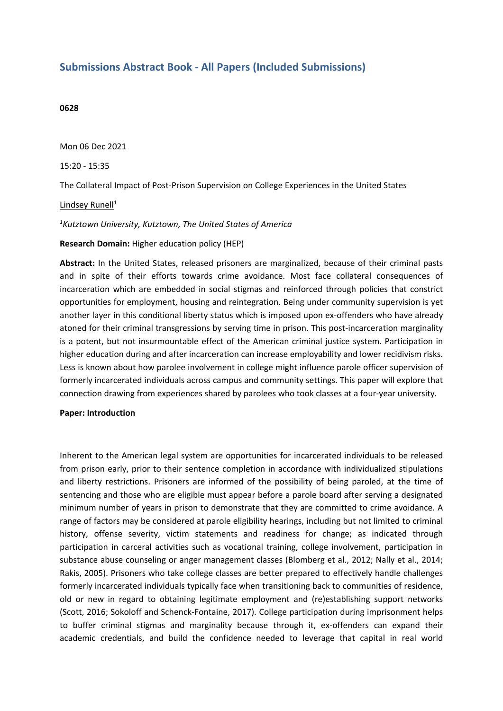# **Submissions Abstract Book - All Papers (Included Submissions)**

## **0628**

Mon 06 Dec 2021

15:20 - 15:35

The Collateral Impact of Post-Prison Supervision on College Experiences in the United States

Lindsey Runell<sup>1</sup>

## *1 Kutztown University, Kutztown, The United States of America*

**Research Domain:** Higher education policy (HEP)

**Abstract:** In the United States, released prisoners are marginalized, because of their criminal pasts and in spite of their efforts towards crime avoidance. Most face collateral consequences of incarceration which are embedded in social stigmas and reinforced through policies that constrict opportunities for employment, housing and reintegration. Being under community supervision is yet another layer in this conditional liberty status which is imposed upon ex-offenders who have already atoned for their criminal transgressions by serving time in prison. This post-incarceration marginality is <sup>a</sup> potent, but not insurmountable effect of the American criminal justice system. Participation in higher education during and after incarceration can increase employability and lower recidivism risks. Less is known about how parolee involvement in college might influence parole officer supervision of formerly incarcerated individuals across campus and community settings. This paper will explore that connection drawing from experiences shared by parolees who took classes at <sup>a</sup> four-year university.

#### **Paper: Introduction**

Inherent to the American legal system are opportunities for incarcerated individuals to be released from prison early, prior to their sentence completion in accordance with individualized stipulations and liberty restrictions. Prisoners are informed of the possibility of being paroled, at the time of sentencing and those who are eligible must appear before <sup>a</sup> parole board after serving <sup>a</sup> designated minimum number of years in prison to demonstrate that they are committed to crime avoidance. A range of factors may be considered at parole eligibility hearings, including but not limited to criminal history, offense severity, victim statements and readiness for change; as indicated through participation in carceral activities such as vocational training, college involvement, participation in substance abuse counseling or anger management classes (Blomberg et al., 2012; Nally et al., 2014; Rakis, 2005). Prisoners who take college classes are better prepared to effectively handle challenges formerly incarcerated individuals typically face when transitioning back to communities of residence, old or new in regard to obtaining legitimate employment and (re)establishing support networks (Scott, 2016; Sokoloff and Schenck-Fontaine, 2017). College participation during imprisonment helps to buffer criminal stigmas and marginality because through it, ex-offenders can expand their academic credentials, and build the confidence needed to leverage that capital in real world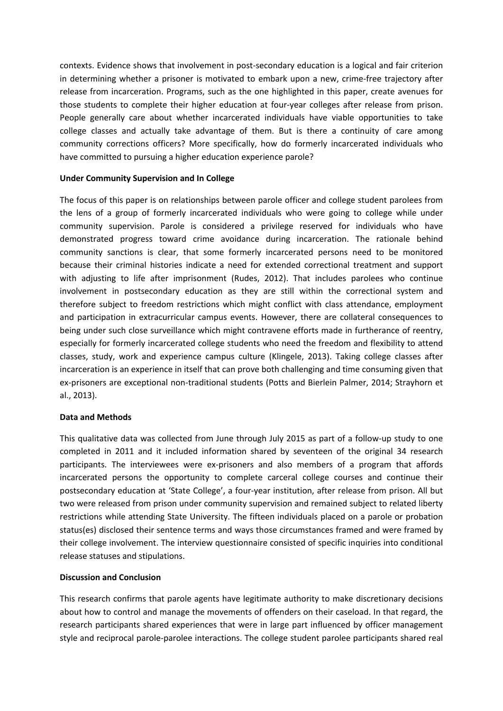contexts. Evidence shows that involvement in post-secondary education is <sup>a</sup> logical and fair criterion in determining whether <sup>a</sup> prisoner is motivated to embark upon <sup>a</sup> new, crime-free trajectory after release from incarceration. Programs, such as the one highlighted in this paper, create avenues for those students to complete their higher education at four-year colleges after release from prison. People generally care about whether incarcerated individuals have viable opportunities to take college classes and actually take advantage of them. But is there <sup>a</sup> continuity of care among community corrections officers? More specifically, how do formerly incarcerated individuals who have committed to pursuing <sup>a</sup> higher education experience parole?

# **Under Community Supervision and In College**

The focus of this paper is on relationships between parole officer and college student parolees from the lens of <sup>a</sup> group of formerly incarcerated individuals who were going to college while under community supervision. Parole is considered <sup>a</sup> privilege reserved for individuals who have demonstrated progress toward crime avoidance during incarceration. The rationale behind community sanctions is clear, that some formerly incarcerated persons need to be monitored because their criminal histories indicate <sup>a</sup> need for extended correctional treatment and support with adjusting to life after imprisonment (Rudes, 2012). That includes parolees who continue involvement in postsecondary education as they are still within the correctional system and therefore subject to freedom restrictions which might conflict with class attendance, employment and participation in extracurricular campus events. However, there are collateral consequences to being under such close surveillance which might contravene efforts made in furtherance of reentry, especially for formerly incarcerated college students who need the freedom and flexibility to attend classes, study, work and experience campus culture (Klingele, 2013). Taking college classes after incarceration is an experience in itself that can prove both challenging and time consuming given that ex-prisoners are exceptional non-traditional students (Potts and Bierlein Palmer, 2014; Strayhorn et al., 2013).

# **Data and Methods**

This qualitative data was collected from June through July 2015 as part of <sup>a</sup> follow-up study to one completed in 2011 and it included information shared by seventeen of the original 34 research participants. The interviewees were ex-prisoners and also members of <sup>a</sup> program that affords incarcerated persons the opportunity to complete carceral college courses and continue their postsecondary education at 'State College', <sup>a</sup> four-year institution, after release from prison. All but two were released from prison under community supervision and remained subject to related liberty restrictions while attending State University. The fifteen individuals placed on <sup>a</sup> parole or probation status(es) disclosed their sentence terms and ways those circumstances framed and were framed by their college involvement. The interview questionnaire consisted of specific inquiries into conditional release statuses and stipulations.

# **Discussion and Conclusion**

This research confirms that parole agents have legitimate authority to make discretionary decisions about how to control and manage the movements of offenders on their caseload. In that regard, the research participants shared experiences that were in large part influenced by officer management style and reciprocal parole-parolee interactions. The college student parolee participants shared real